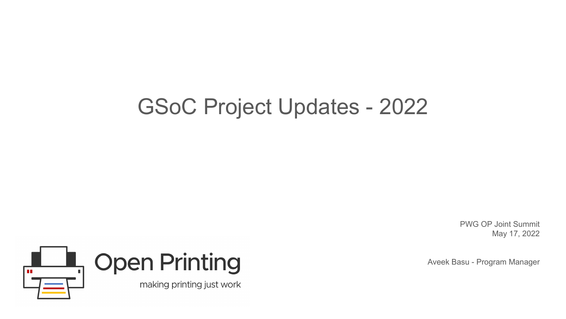## GSoC Project Updates - 2022

PWG OP Joint Summit May 17, 2022

Aveek Basu - Program Manager

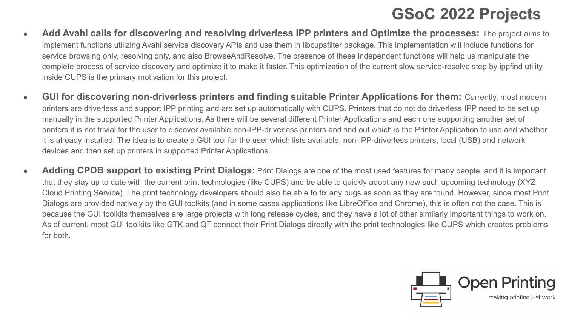### **GSoC 2022 Projects**

- **Add Avahi calls for discovering and resolving driverless IPP printers and Optimize the processes:** The project aims to implement functions utilizing Avahi service discovery APIs and use them in libcupsfilter package. This implementation will include functions for service browsing only, resolving only, and also BrowseAndResolve. The presence of these independent functions will help us manipulate the complete process of service discovery and optimize it to make it faster. This optimization of the current slow service-resolve step by ippfind utility inside CUPS is the primary motivation for this project.
- **GUI for discovering non-driverless printers and finding suitable Printer Applications for them: Currently, most modern** printers are driverless and support IPP printing and are set up automatically with CUPS. Printers that do not do driverless IPP need to be set up manually in the supported Printer Applications. As there will be several different Printer Applications and each one supporting another set of printers it is not trivial for the user to discover available non-IPP-driverless printers and find out which is the Printer Application to use and whether it is already installed. The idea is to create a GUI tool for the user which lists available, non-IPP-driverless printers, local (USB) and network devices and then set up printers in supported Printer Applications.
- **Adding CPDB support to existing Print Dialogs:** Print Dialogs are one of the most used features for many people, and it is important that they stay up to date with the current print technologies (like CUPS) and be able to quickly adopt any new such upcoming technology (XYZ Cloud Printing Service). The print technology developers should also be able to fix any bugs as soon as they are found. However, since most Print Dialogs are provided natively by the GUI toolkits (and in some cases applications like LibreOffice and Chrome), this is often not the case. This is because the GUI toolkits themselves are large projects with long release cycles, and they have a lot of other similarly important things to work on. As of current, most GUI toolkits like GTK and QT connect their Print Dialogs directly with the print technologies like CUPS which creates problems for both.

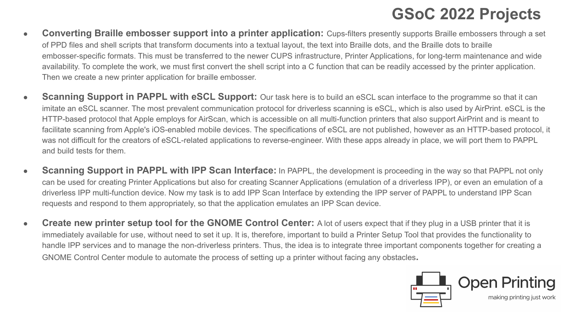## **GSoC 2022 Projects**

- **Converting Braille embosser support into a printer application:** Cups-filters presently supports Braille embossers through a set of PPD files and shell scripts that transform documents into a textual layout, the text into Braille dots, and the Braille dots to braille embosser-specific formats. This must be transferred to the newer CUPS infrastructure, Printer Applications, for long-term maintenance and wide availability. To complete the work, we must first convert the shell script into a C function that can be readily accessed by the printer application. Then we create a new printer application for braille embosser.
- **Scanning Support in PAPPL with eSCL Support:** Our task here is to build an eSCL scan interface to the programme so that it can imitate an eSCL scanner. The most prevalent communication protocol for driverless scanning is eSCL, which is also used by AirPrint. eSCL is the HTTP-based protocol that Apple employs for AirScan, which is accessible on all multi-function printers that also support AirPrint and is meant to facilitate scanning from Apple's iOS-enabled mobile devices. The specifications of eSCL are not published, however as an HTTP-based protocol, it was not difficult for the creators of eSCL-related applications to reverse-engineer. With these apps already in place, we will port them to PAPPL and build tests for them.
- **Scanning Support in PAPPL with IPP Scan Interface:** In PAPPL, the development is proceeding in the way so that PAPPL not only can be used for creating Printer Applications but also for creating Scanner Applications (emulation of a driverless IPP), or even an emulation of a driverless IPP multi-function device. Now my task is to add IPP Scan Interface by extending the IPP server of PAPPL to understand IPP Scan requests and respond to them appropriately, so that the application emulates an IPP Scan device.
- **Create new printer setup tool for the GNOME Control Center:** A lot of users expect that if they plug in a USB printer that it is immediately available for use, without need to set it up. It is, therefore, important to build a Printer Setup Tool that provides the functionality to handle IPP services and to manage the non-driverless printers. Thus, the idea is to integrate three important components together for creating a GNOME Control Center module to automate the process of setting up a printer without facing any obstacles**.**

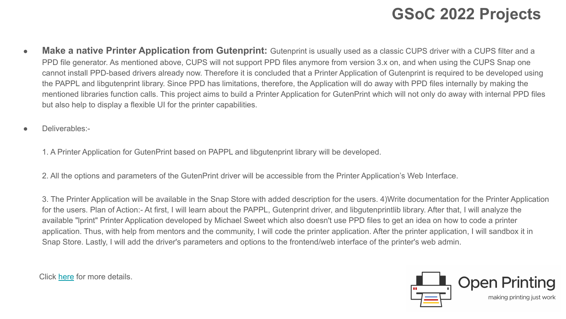### **GSoC 2022 Projects**

- **Make a native Printer Application from Gutenprint:** Gutenprint is usually used as a classic CUPS driver with a CUPS filter and a PPD file generator. As mentioned above, CUPS will not support PPD files anymore from version 3.x on, and when using the CUPS Snap one cannot install PPD-based drivers already now. Therefore it is concluded that a Printer Application of Gutenprint is required to be developed using the PAPPL and libgutenprint library. Since PPD has limitations, therefore, the Application will do away with PPD files internally by making the mentioned libraries function calls. This project aims to build a Printer Application for GutenPrint which will not only do away with internal PPD files but also help to display a flexible UI for the printer capabilities.
- Deliverables:-

1. A Printer Application for GutenPrint based on PAPPL and libgutenprint library will be developed.

2. All the options and parameters of the GutenPrint driver will be accessible from the Printer Application's Web Interface.

3. The Printer Application will be available in the Snap Store with added description for the users. 4)Write documentation for the Printer Application for the users. Plan of Action:- At first, I will learn about the PAPPL, Gutenprint driver, and libgutenprintlib library. After that, I will analyze the available "lprint" Printer Application developed by Michael Sweet which also doesn't use PPD files to get an idea on how to code a printer application. Thus, with help from mentors and the community, I will code the printer application. After the printer application, I will sandbox it in Snap Store. Lastly, I will add the driver's parameters and options to the frontend/web interface of the printer's web admin.

Click [here](https://wiki.linuxfoundation.org/gsoc/google-summer-code-2022-openprinting-projects#cups-filtersadd_avahi_calls_for_discovering_and_resolving_driverless_ipp_printers_to_api_and_optimize_the_processes) for more details.

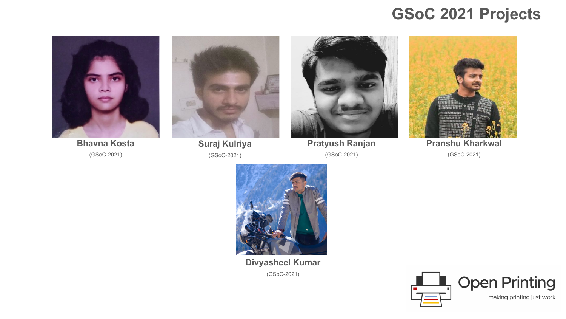#### **GSoC 2021 Projects**



**Bhavna Kosta**  (GSoC-2021)



**Suraj Kulriya**  (GSoC-2021)



**Pratyush Ranjan**  (GSoC-2021)



**Pranshu Kharkwal**  (GSoC-2021)



**Divyasheel Kumar**  (GSoC-2021)

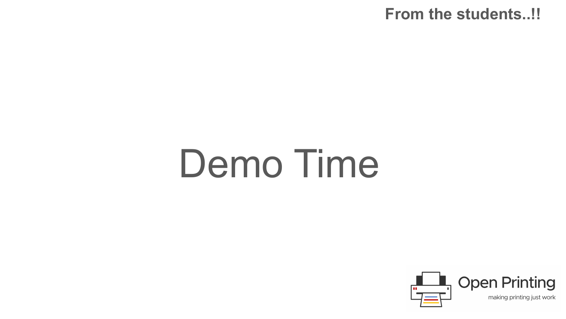#### **From the students..!!**

# Demo Time

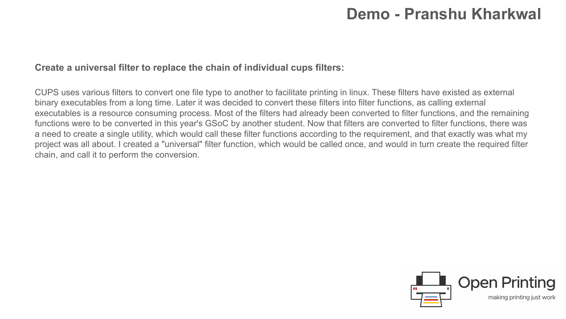#### **Demo - Pranshu Kharkwal**

#### **Create a universal filter to replace the chain of individual cups filters:**

CUPS uses various filters to convert one file type to another to facilitate printing in linux. These filters have existed as external binary executables from a long time. Later it was decided to convert these filters into filter functions, as calling external executables is a resource consuming process. Most of the filters had already been converted to filter functions, and the remaining functions were to be converted in this year's GSoC by another student. Now that filters are converted to filter functions, there was a need to create a single utility, which would call these filter functions according to the requirement, and that exactly was what my project was all about. I created a "universal" filter function, which would be called once, and would in turn create the required filter chain, and call it to perform the conversion.

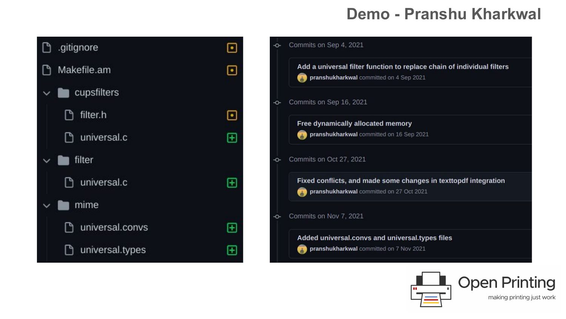#### **Demo - Pranshu Kharkwal**





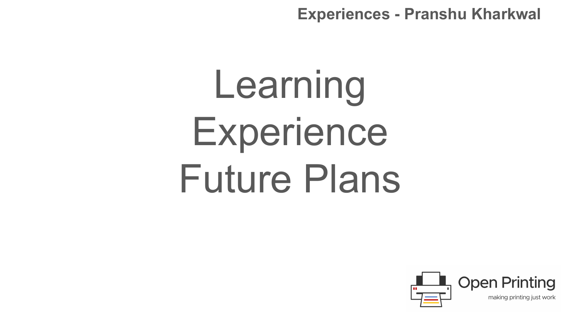**Experiences - Pranshu Kharkwal** 

# Learning **Experience** Future Plans

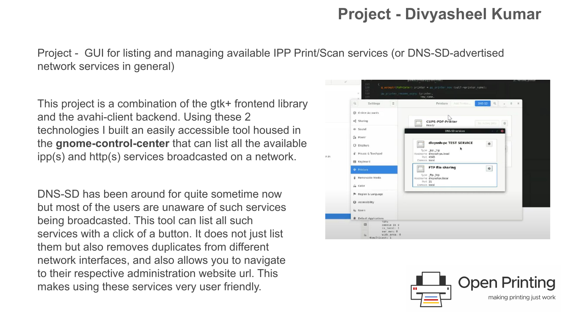#### **Project - Divyasheel Kumar**

Project - GUI for listing and managing available IPP Print/Scan services (or DNS-SD-advertised network services in general)

This project is a combination of the gtk+ frontend library and the avahi-client backend. Using these 2 technologies I built an easily accessible tool housed in the **gnome-control-center** that can list all the available ipp(s) and http(s) services broadcasted on a network.

DNS-SD has been around for quite sometime now but most of the users are unaware of such services being broadcasted. This tool can list all such services with a click of a button. It does not just list them but also removes duplicates from different network interfaces, and also allows you to navigate to their respective administration website url. This makes using these services very user friendly.



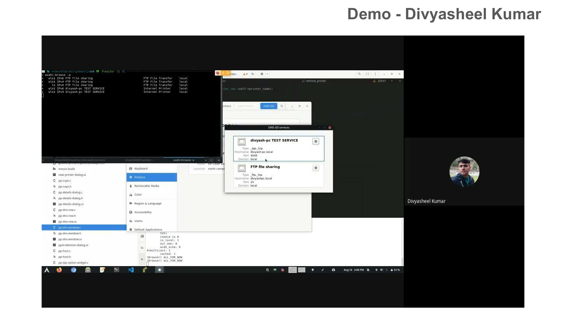#### **Demo - Divyasheel Kumar**

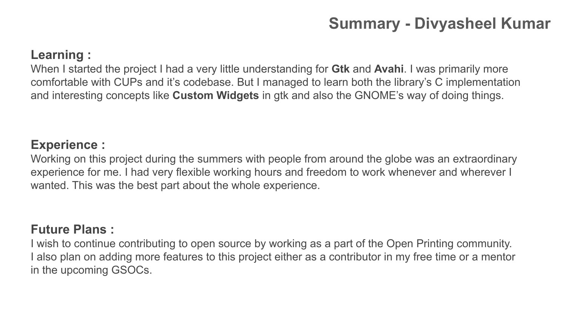## **Summary - Divyasheel Kumar**

#### **Learning :**

When I started the project I had a very little understanding for **Gtk** and **Avahi**. I was primarily more comfortable with CUPs and it's codebase. But I managed to learn both the library's C implementation and interesting concepts like **Custom Widgets** in gtk and also the GNOME's way of doing things.

#### **Experience :**

Working on this project during the summers with people from around the globe was an extraordinary experience for me. I had very flexible working hours and freedom to work whenever and wherever I wanted. This was the best part about the whole experience.

#### **Future Plans :**

I wish to continue contributing to open source by working as a part of the Open Printing community. I also plan on adding more features to this project either as a contributor in my free time or a mentor in the upcoming GSOCs.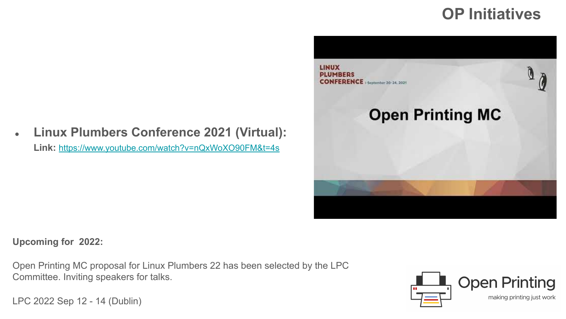### **OP Initiatives**





**Upcoming for 2022:** 

Open Printing MC proposal for Linux Plumbers 22 has been selected by the LPC Committee. Inviting speakers for talks.

[LPC 2022](https://lpc.events/) Sep 12 - 14 (Dublin)

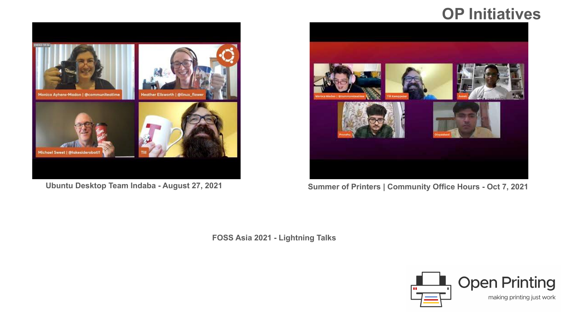#### **[OP Initiative](http://www.youtube.com/watch?v=diB3wm4HB1Y)s**



**Ubuntu Desktop Team Indaba - August 27, 2021**



**Summer of Printers | Community Office Hours - Oct 7, 2021**

 **FOSS Asia 2021 - Lightning Talks**

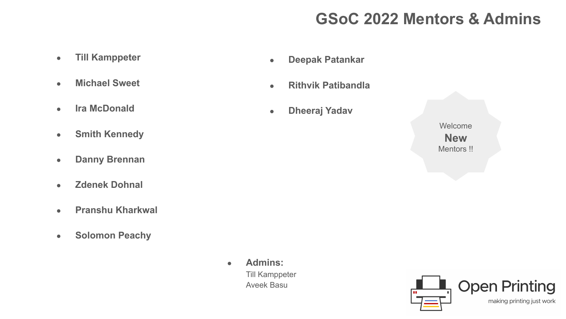## **GSoC 2022 Mentors & Admins**

- **Till Kamppeter**
- **Michael Sweet**
- **Ira McDonald**
- **Smith Kennedy**
- **Danny Brennan**
- **Zdenek Dohnal**
- **Pranshu Kharkwal**
- **Solomon Peachy**
- **Deepak Patankar**
- **Rithvik Patibandla**
- **Dheeraj Yadav**

Welcome **New**  Mentors !!



● **Admins:**  Till Kamppeter Aveek Basu